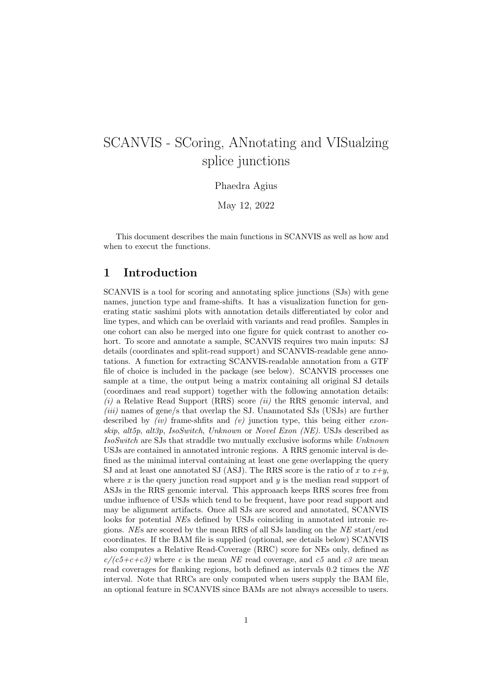# SCANVIS - SCoring, ANnotating and VISualzing splice junctions

Phaedra Agius

May 12, 2022

This document describes the main functions in SCANVIS as well as how and when to execut the functions.

#### 1 Introduction

SCANVIS is a tool for scoring and annotating splice junctions (SJs) with gene names, junction type and frame-shifts. It has a visualization function for generating static sashimi plots with annotation details differentiated by color and line types, and which can be overlaid with variants and read profiles. Samples in one cohort can also be merged into one figure for quick contrast to another cohort. To score and annotate a sample, SCANVIS requires two main inputs: SJ details (coordinates and split-read support) and SCANVIS-readable gene annotations. A function for extracting SCANVIS-readable annotation from a GTF file of choice is included in the package (see below). SCANVIS processes one sample at a time, the output being a matrix containing all original SJ details (coordinaes and read support) together with the following annotation details:  $(i)$  a Relative Read Support (RRS) score  $(ii)$  the RRS genomic interval, and (iii) names of gene/s that overlap the SJ. Unannotated SJs (USJs) are further described by  $(iv)$  frame-shfits and  $(v)$  junction type, this being either exonskip, alt5p, alt3p, IsoSwitch, Unknown or Novel Exon (NE). USJs described as IsoSwitch are SJs that straddle two mutually exclusive isoforms while Unknown USJs are contained in annotated intronic regions. A RRS genomic interval is defined as the minimal interval containing at least one gene overlapping the query SJ and at least one annotated SJ (ASJ). The RRS score is the ratio of x to  $x+y$ , where  $x$  is the query junction read support and  $y$  is the median read support of ASJs in the RRS genomic interval. This approaach keeps RRS scores free from undue influence of USJs which tend to be frequent, have poor read support and may be alignment artifacts. Once all SJs are scored and annotated, SCANVIS looks for potential NEs defined by USJs coinciding in annotated intronic regions. NEs are scored by the mean RRS of all SJs landing on the NE start/end coordinates. If the BAM file is supplied (optional, see details below) SCANVIS also computes a Relative Read-Coverage (RRC) score for NEs only, defined as  $c/(c5+c+c3)$  where c is the mean NE read coverage, and c5 and c3 are mean read coverages for flanking regions, both defined as intervals 0.2 times the NE interval. Note that RRCs are only computed when users supply the BAM file, an optional feature in SCANVIS since BAMs are not always accessible to users.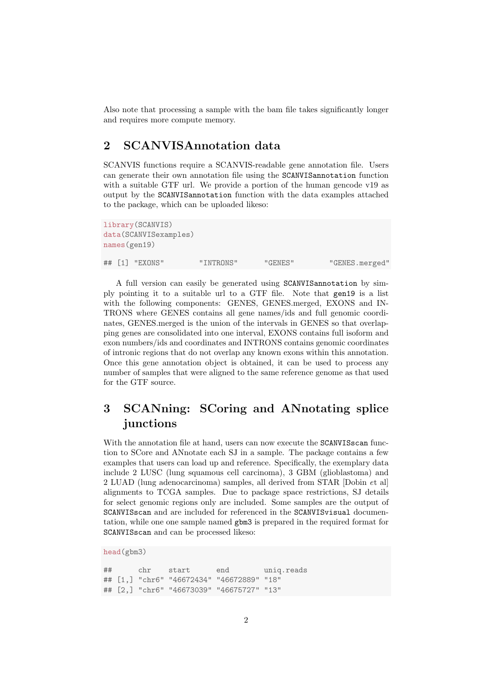Also note that processing a sample with the bam file takes significantly longer and requires more compute memory.

### 2 SCANVISAnnotation data

SCANVIS functions require a SCANVIS-readable gene annotation file. Users can generate their own annotation file using the SCANVISannotation function with a suitable GTF url. We provide a portion of the human gencode v19 as output by the SCANVISannotation function with the data examples attached to the package, which can be uploaded likeso:

```
library(SCANVIS)
data(SCANVISexamples)
names(gen19)
## [1] "EXONS" "INTRONS" "GENES" "GENES.merged"
```
A full version can easily be generated using SCANVISannotation by simply pointing it to a suitable url to a GTF file. Note that gen19 is a list with the following components: GENES, GENES.merged, EXONS and IN-TRONS where GENES contains all gene names/ids and full genomic coordinates, GENES.merged is the union of the intervals in GENES so that overlapping genes are consolidated into one interval, EXONS contains full isoform and exon numbers/ids and coordinates and INTRONS contains genomic coordinates of intronic regions that do not overlap any known exons within this annotation. Once this gene annotation object is obtained, it can be used to process any number of samples that were aligned to the same reference genome as that used for the GTF source.

## 3 SCANning: SCoring and ANnotating splice junctions

With the annotation file at hand, users can now execute the SCANVISscan function to SCore and ANnotate each SJ in a sample. The package contains a few examples that users can load up and reference. Specifically, the exemplary data include 2 LUSC (lung squamous cell carcinoma), 3 GBM (glioblastoma) and 2 LUAD (lung adenocarcinoma) samples, all derived from STAR [Dobin et al] alignments to TCGA samples. Due to package space restrictions, SJ details for select genomic regions only are included. Some samples are the output of SCANVISscan and are included for referenced in the SCANVISvisual documentation, while one one sample named gbm3 is prepared in the required format for SCANVISscan and can be processed likeso:

```
head(gbm3)
```
## chr start end uniq.reads ## [1,] "chr6" "46672434" "46672889" "18" ## [2,] "chr6" "46673039" "46675727" "13"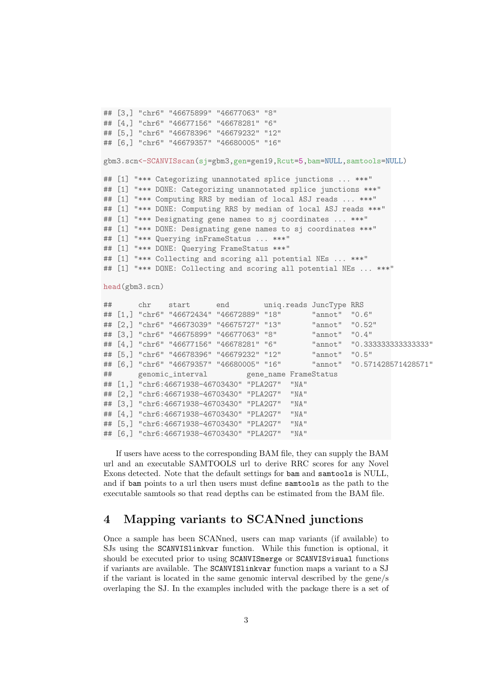```
## [3,] "chr6" "46675899" "46677063" "8"
## [4,] "chr6" "46677156" "46678281" "6"
## [5,] "chr6" "46678396" "46679232" "12"
## [6,] "chr6" "46679357" "46680005" "16"
gbm3.scn<-SCANVISscan(sj=gbm3,gen=gen19,Rcut=5,bam=NULL,samtools=NULL)
## [1] "*** Categorizing unannotated splice junctions ... ***"
## [1] "*** DONE: Categorizing unannotated splice junctions ***"
## [1] "*** Computing RRS by median of local ASJ reads ... ***"
## [1] "*** DONE: Computing RRS by median of local ASJ reads ***"
## [1] "*** Designating gene names to sj coordinates ... ***"
## [1] "*** DONE: Designating gene names to sj coordinates ***"
## [1] "*** Querying inFrameStatus ... ***"
## [1] "*** DONE: Querying FrameStatus ***"
## [1] "*** Collecting and scoring all potential NEs ... ***"
## [1] "*** DONE: Collecting and scoring all potential NEs ... ***"
head(gbm3.scn)
## chr start end uniq.reads JuncType RRS
## [1,] "chr6" "46672434" "46672889" "18" "annot" "0.6"
## [2,] "chr6" "46673039" "46675727" "13" "annot" "0.52"
## [3,] "chr6" "46675899" "46677063" "8" | "annot"
## [4,] "chr6" "46677156" "46678281" "6" "annot" "0.333333333333333"
## [5,] "chr6" "46678396" "46679232" "12" "annot" "0.5"
## [6,] "chr6" "46679357" "46680005" "16" "annot" "0.571428571428571"
## genomic_interval gene_name FrameStatus
## [1,] "chr6:46671938-46703430" "PLA2G7" "NA"
## [2,] "chr6:46671938-46703430" "PLA2G7" "NA"
## [3,] "chr6:46671938-46703430" "PLA2G7" "NA"
## [4,] "chr6:46671938-46703430" "PLA2G7" "NA"
## [5,] "chr6:46671938-46703430" "PLA2G7" "NA"
## [6,] "chr6:46671938-46703430" "PLA2G7" "NA"
```
If users have acess to the corresponding BAM file, they can supply the BAM url and an executable SAMTOOLS url to derive RRC scores for any Novel Exons detected. Note that the default settings for bam and samtools is NULL, and if bam points to a url then users must define samtools as the path to the executable samtools so that read depths can be estimated from the BAM file.

#### 4 Mapping variants to SCANned junctions

Once a sample has been SCANned, users can map variants (if available) to SJs using the SCANVISlinkvar function. While this function is optional, it should be executed prior to using SCANVISmerge or SCANVISvisual functions if variants are available. The SCANVISlinkvar function maps a variant to a SJ if the variant is located in the same genomic interval described by the gene/s overlaping the SJ. In the examples included with the package there is a set of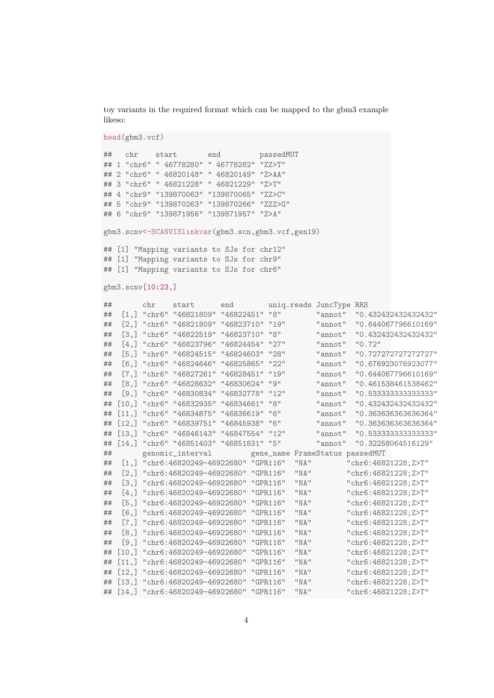toy variants in the required format which can be mapped to the gbm3 example likeso:

```
head(gbm3.vcf)
## chr start end passedMUT
## 1 "chr6" " 46778280" " 46778282" "ZZ>T"
## 2 "chr6" " 46820148" " 46820149" "Z>AA"
## 3 "chr6" " 46821228" " 46821229" "Z>T"
## 4 "chr9" "139870063" "139870065" "ZZ>C"
## 5 "chr9" "139870263" "139870266" "ZZZ>G"
## 6 "chr9" "139871956" "139871957" "Z>A"
gbm3.scnv<-SCANVISlinkvar(gbm3.scn,gbm3.vcf,gen19)
## [1] "Mapping variants to SJs for chr12"
## [1] "Mapping variants to SJs for chr9"
## [1] "Mapping variants to SJs for chr6"
gbm3.scnv[10:23,]
## chr start end uniq.reads JuncType RRS
## [1,] "chr6" "46821809" "46822451" "8" "annot" "0.432432432432432"
## [2,] "chr6" "46821809" "46823710" "19" "annot" "0.644067796610169"
## [3,] "chr6" "46822519" "46823710" "8" "annot" "0.432432432432432"
## [4,] "chr6" "46823796" "46824454" "27" "annot" "0.72"
## [5,] "chr6" "46824515" "46824603" "28" "annot" "0.727272727272727"
## [6,] "chr6" "46824646" "46825865" "22" "annot" "0.676923076923077"
## [7,] "chr6" "46827261" "46828451" "19" "annot" "0.644067796610169"
## [8,] "chr6" "46828632" "46830624" "9" "annot" "0.461538461538462"
## [9,] "chr6" "46830834" "46832778" "12" "annot" "0.533333333333333"
## [10,] "chr6" "46832935" "46834661" "8" "annot" "0.432432432432432"
## [11,] "chr6" "46834875" "46836619" "6"
## [12,] "chr6" "46839751" "46845938" "6" "annot" "0.363636363636364"
## [13,] "chr6" "46846143" "46847554" "12"
## [14,] "chr6" "46851403" "46851831" "5" "annot" "0.32258064516129"
## genomic_interval gene_name FrameStatus passedMUT
## [1,] "chr6:46820249-46922680" "GPR116" "NA" "chr6:46821228;Z>T"
## [2,] "chr6:46820249-46922680" "GPR116" "NA" "chr6:46821228;Z>T"
## [3,] "chr6:46820249-46922680" "GPR116" "NA" "chr6:46821228;Z>T"
## [4,] "chr6:46820249-46922680" "GPR116" "NA" "chr6:46821228;Z>T"
## [5,] "chr6:46820249-46922680" "GPR116" "NA" "chr6:46821228;Z>T"
## [6,] "chr6:46820249-46922680" "GPR116" "NA" "chr6:46821228;Z>T"
## [7,] "chr6:46820249-46922680" "GPR116" "NA" "chr6:46821228;Z>T"
## [8,] "chr6:46820249-46922680" "GPR116" "NA" "chr6:46821228;Z>T"
## [9,] "chr6:46820249-46922680" "GPR116" "NA" "chr6:46821228;Z>T"
## [10,] "chr6:46820249-46922680" "GPR116" "NA" "chr6:46821228;Z>T"
## [11,] "chr6:46820249-46922680" "GPR116" "NA" "chr6:46821228;Z>T"
## [12,] "chr6:46820249-46922680" "GPR116" "NA" "chr6:46821228;Z>T"
## [13,] "chr6:46820249-46922680" "GPR116" "NA" "chr6:46821228;Z>T"
## [14,] "chr6:46820249-46922680" "GPR116" "NA" "chr6:46821228;Z>T"
```
4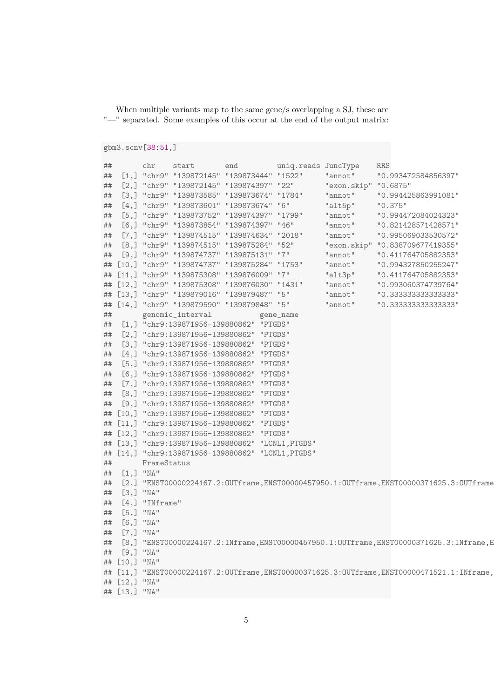When multiple variants map to the same gene/s overlapping a SJ, these are "—" separated. Some examples of this occur at the end of the output matrix:

```
gbm3.scnv[38:51,]
```

```
## chr start end uniq.reads JuncType RRS
## [1,] "chr9" "139872145" "139873444" "1522" "annot" "0.993472584856397"
## [2,] "chr9" "139872145" "139874397" "22" "exon.skip" "0.6875"
## [3,] "chr9" "139873585" "139873674" "1784" "annot" "0.994425863991081"
## [4,] "chr9" "139873601" "139873674" "6" "alt5p" "0.375"
## [5,] "chr9" "139873752" "139874397" "1799" "annot" "0.994472084024323"
## [6,] "chr9" "139873854" "139874397" "46" "annot" "0.821428571428571"
## [7,] "chr9" "139874515" "139874634" "2018" "annot" "0.995069033530572"
## [8,] "chr9" "139874515" "139875284" "52"
## [9,] "chr9" "139874737" "139875131" "7" "annot" "0.411764705882353"
## [10,] "chr9" "139874737" "139875284" "1753" "annot" "0.994327850255247"
## [11,] "chr9" "139875308" "139876009" "7" "alt3p" "0.411764705882353"
## [12,] "chr9" "139875308" "139876030" "1431" "annot" "0.993060374739764"
## [13,] "chr9" "139879016" "139879487" "5" "annot" "0.333333333333333"
## [14,] "chr9" "139879590" "139879848" "5" "annot" "0.333333333333333"
## genomic_interval gene_name
## [1,] "chr9:139871956-139880862" "PTGDS"
## [2,] "chr9:139871956-139880862" "PTGDS"
## [3,] "chr9:139871956-139880862" "PTGDS"
## [4,] "chr9:139871956-139880862" "PTGDS"
## [5,] "chr9:139871956-139880862" "PTGDS"
## [6,] "chr9:139871956-139880862" "PTGDS"
## [7,] "chr9:139871956-139880862" "PTGDS"
## [8,] "chr9:139871956-139880862" "PTGDS"
## [9,] "chr9:139871956-139880862" "PTGDS"
## [10,] "chr9:139871956-139880862" "PTGDS"
## [11,] "chr9:139871956-139880862" "PTGDS"
## [12,] "chr9:139871956-139880862" "PTGDS"
## [13,] "chr9:139871956-139880862" "LCNL1,PTGDS"
## [14,] "chr9:139871956-139880862" "LCNL1,PTGDS"
## FrameStatus
## [1,] "NA"
## [2,] "ENST00000224167.2:OUTframe,ENST00000457950.1:OUTframe,ENST00000371625.3:OUTframe
## [3,] "NA"
## [4,] "INframe"
## [5,] "NA"
## [6,] "NA"
## [7,] "NA"
## [8,] "ENST00000224167.2:INframe,ENST00000457950.1:OUTframe,ENST00000371625.3:INframe,E
## [9,] "NA"
## [10,] "NA"
## [11,] "ENST00000224167.2:OUTframe,ENST00000371625.3:OUTframe,ENST00000471521.1:INframe,
## [12,] "NA"
## [13,] "NA"
```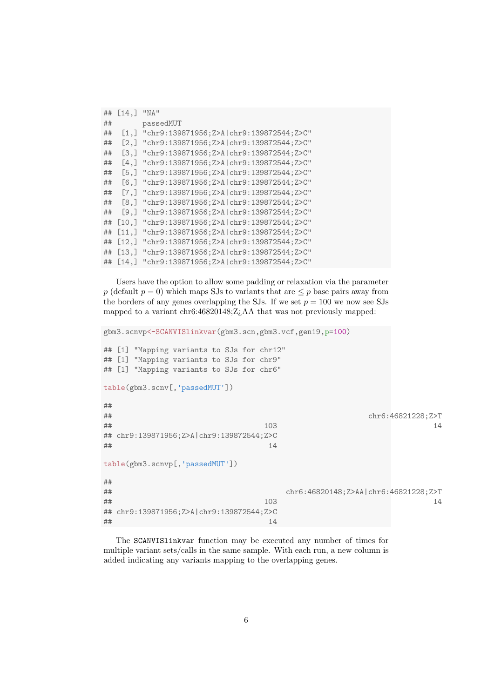| ## | $[14,]$ "NA" |                                                      |
|----|--------------|------------------------------------------------------|
| ## |              | passedMUT                                            |
| ## |              | $[1,]$ "chr9:139871956;Z>A chr9:139872544;Z>C"       |
| ## |              | $[2,]$ "chr9:139871956; Z>A   chr9:139872544; Z>C"   |
| ## |              | $[3,]$ "chr9:139871956; Z>A   chr9:139872544; Z>C"   |
| ## |              | $[4,]$ "chr9:139871956; Z>A   chr9:139872544; Z>C"   |
| ## |              | [5,] "chr9:139871956; Z>A   chr9:139872544; Z>C"     |
| ## |              | [6,] "chr9:139871956; Z>A   chr9:139872544; Z>C"     |
| ## |              | [7,] "chr9:139871956; Z>A   chr9:139872544; Z>C"     |
| ## |              | [8,] "chr9:139871956; Z>A   chr9:139872544; Z>C"     |
| ## |              | [9.] "chr9:139871956:Z>Alchr9:139872544:Z>C"         |
| ## |              | $[10,]$ "chr9:139871956; Z>A   chr9:139872544; Z>C"  |
| ## |              | $[11,]$ "chr9:139871956; Z>A   chr9:139872544; Z>C"  |
| ## |              | $[12,]$ "chr9:139871956; Z>A   chr9:139872544; Z>C"  |
| ## |              | $[13,]$ "chr9:139871956; Z>A   chr9:139872544; Z>C"  |
|    |              | ## [14,] "chr9:139871956; Z>A   chr9:139872544; Z>C" |

Users have the option to allow some padding or relaxation via the parameter p (default  $p = 0$ ) which maps SJs to variants that are  $\leq p$  base pairs away from the borders of any genes overlapping the SJs. If we set  $p = 100$  we now see SJs mapped to a variant chr6:46820148;Z¿AA that was not previously mapped:

```
gbm3.scnvp<-SCANVISlinkvar(gbm3.scn,gbm3.vcf,gen19,p=100)
## [1] "Mapping variants to SJs for chr12"
## [1] "Mapping variants to SJs for chr9"
## [1] "Mapping variants to SJs for chr6"
table(gbm3.scnv[,'passedMUT'])
##
## chr6:46821228;Z>T
## 103 14
## chr9:139871956;Z>A|chr9:139872544;Z>C
\## 14
table(gbm3.scnvp[,'passedMUT'])
##
## chr6:46820148;Z>AA|chr6:46821228;Z>T
\## 103 14
## chr9:139871956;Z>A|chr9:139872544;Z>C
\## 14
```
The SCANVISlinkvar function may be executed any number of times for multiple variant sets/calls in the same sample. With each run, a new column is added indicating any variants mapping to the overlapping genes.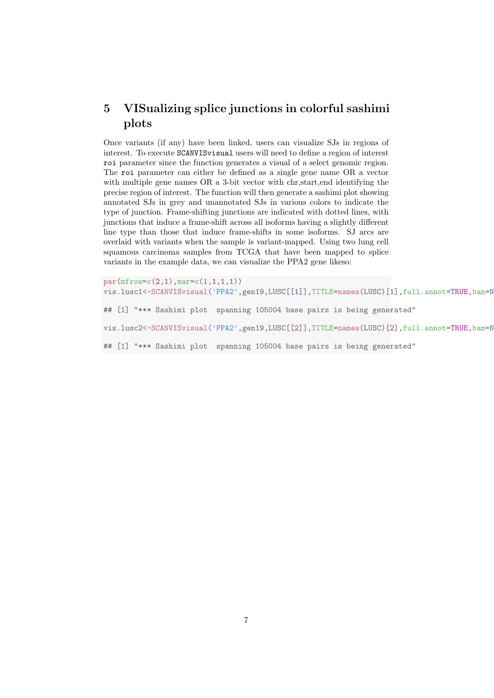## 5 VISualizing splice junctions in colorful sashimi plots

Once variants (if any) have been linked, users can visualize SJs in regions of interest. To execute SCANVISvisual users will need to define a region of interest roi parameter since the function generates a visual of a select genomic region. The roi parameter can either be defined as a single gene name OR a vector with multiple gene names OR a 3-bit vector with chr,start,end identifying the precise region of interest. The function will then generate a sashimi plot showing annotated SJs in grey and unannotated SJs in various colors to indicate the type of junction. Frame-shifting junctions are indicated with dotted lines, with junctions that induce a frame-shift across all isoforms having a slightly different line type than those that induce frame-shifts in some isoforms. SJ arcs are overlaid with variants when the sample is variant-mapped. Using two lung cell squamous carcinoma samples from TCGA that have been mapped to splice variants in the example data, we can visualize the PPA2 gene likeso:

```
par(mfrow=c(2,1),mar=c(1,1,1,1))vis.lusc1<-SCANVISvisual('PPA2',gen19,LUSC[[1]],TITLE=names(LUSC)[1],full.annot=TRUE,bam=N
## [1] "*** Sashimi plot spanning 105004 base pairs is being generated"
vis.lusc2<-SCANVISvisual('PPA2',gen19,LUSC[[2]],TITLE=names(LUSC)[2],full.annot=TRUE,bam=N
## [1] "*** Sashimi plot spanning 105004 base pairs is being generated"
```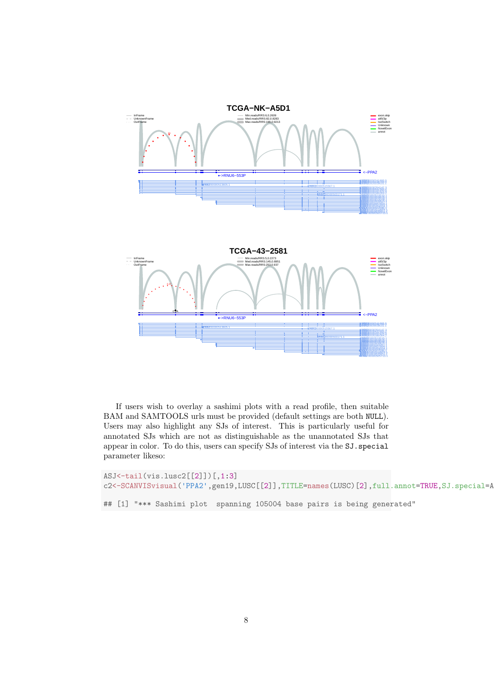

If users wish to overlay a sashimi plots with a read profile, then suitable BAM and SAMTOOLS urls must be provided (default settings are both NULL). Users may also highlight any SJs of interest. This is particularly useful for annotated SJs which are not as distinguishable as the unannotated SJs that appear in color. To do this, users can specify SJs of interest via the SJ.special parameter likeso:

```
ASJ<-tail(vis.lusc2[[2]])[,1:3]
c2<-SCANVISvisual('PPA2',gen19,LUSC[[2]],TITLE=names(LUSC)[2],full.annot=TRUE,SJ.special=A
## [1] "*** Sashimi plot spanning 105004 base pairs is being generated"
```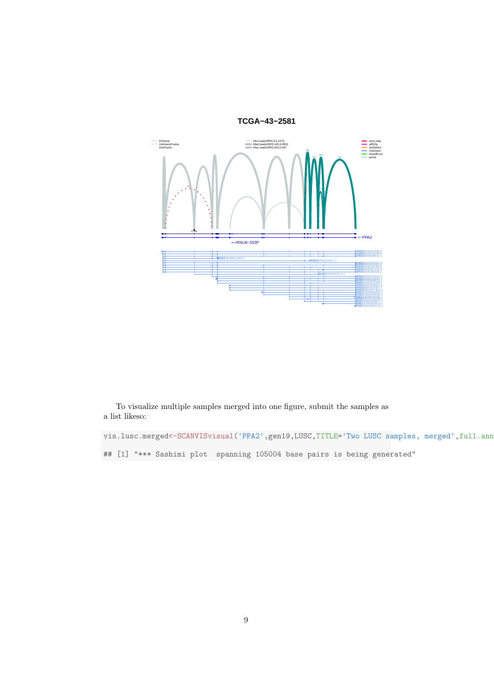

To visualize multiple samples merged into one figure, submit the samples as a list likeso:

vis.lusc.merged<-SCANVISvisual('PPA2',gen19,LUSC,TITLE='Two LUSC samples, merged',full.ann ## [1] "\*\*\* Sashimi plot spanning 105004 base pairs is being generated"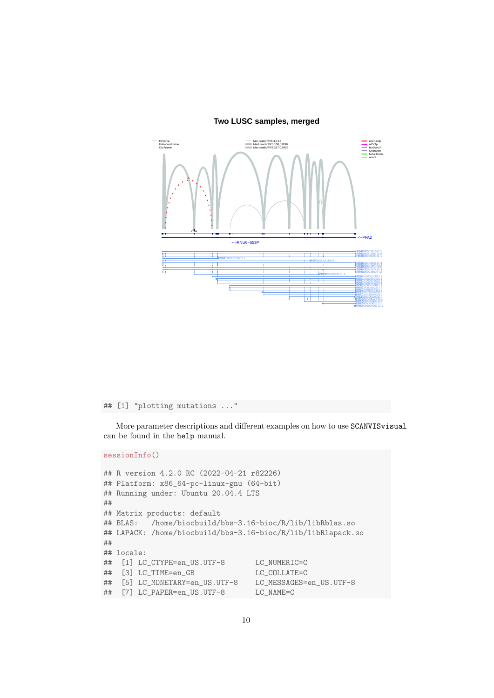

#### **Two LUSC samples, merged**

```
## [1] "plotting mutations ..."
```
More parameter descriptions and different examples on how to use SCANVISvisual can be found in the help manual.

#### sessionInfo()

```
## R version 4.2.0 RC (2022-04-21 r82226)
## Platform: x86_64-pc-linux-gnu (64-bit)
## Running under: Ubuntu 20.04.4 LTS
##
## Matrix products: default
## BLAS: /home/biocbuild/bbs-3.16-bioc/R/lib/libRblas.so
## LAPACK: /home/biocbuild/bbs-3.16-bioc/R/lib/libRlapack.so
##
## locale:
## [1] LC_CTYPE=en_US.UTF-8 LC_NUMERIC=C
## [3] LC_TIME=en_GB LC_COLLATE=C
## [5] LC_MONETARY=en_US.UTF-8 LC_MESSAGES=en_US.UTF-8
## [7] LC_PAPER=en_US.UTF-8 LC_NAME=C
```